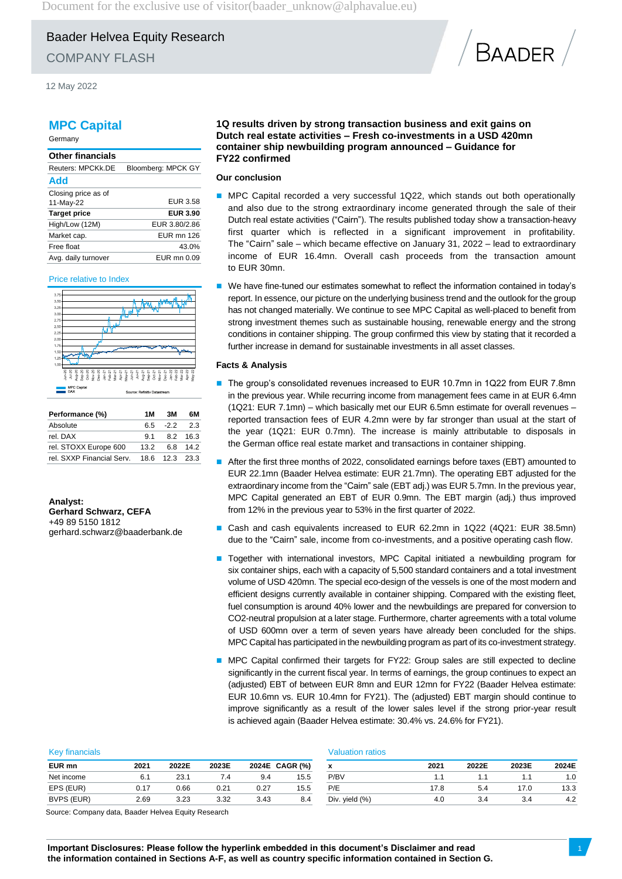Baader Helvea Equity Research

COMPANY FLASH

12 May 2022

## **MPC Capital**

Germany

## **Other financials** Reuters: MPCKk.DE Bloomberg: MPCK GY **Add** Closing price as of 11-May-22 EUR 3.58 **Target price EUR 3.90** High/Low (12M) EUR 3.80/2.86 Market cap. EUR mn 126 Free float 43.0% Avg. daily turnover EUR mn 0.09

#### Price relative to Index



| Performance (%)           | 1 M  | 3M             | 6М       |
|---------------------------|------|----------------|----------|
| Absolute                  |      | 65 -22         | 2.3      |
| rel. DAX                  | 91   |                | 8.2 16.3 |
| rel. STOXX Europe 600     | 13.2 |                | 6.8 14.2 |
| rel. SXXP Financial Serv. |      | 18.6 12.3 23.3 |          |

**Analyst: Gerhard Schwarz, CEFA** +49 89 5150 1812 gerhard.schwarz@baaderbank.de

### **1Q results driven by strong transaction business and exit gains on Dutch real estate activities – Fresh co-investments in a USD 420mn container ship newbuilding program announced – Guidance for FY22 confirmed**

## **Our conclusion**

MPC Capital recorded a very successful 1Q22, which stands out both operationally and also due to the strong extraordinary income generated through the sale of their Dutch real estate activities ("Cairn"). The results published today show a transaction-heavy first quarter which is reflected in a significant improvement in profitability. The "Cairn" sale – which became effective on January 31, 2022 – lead to extraordinary income of EUR 16.4mn. Overall cash proceeds from the transaction amount to EUR 30mn.

**BAADER** 

 We have fine-tuned our estimates somewhat to reflect the information contained in today's report. In essence, our picture on the underlying business trend and the outlook for the group has not changed materially. We continue to see MPC Capital as well-placed to benefit from strong investment themes such as sustainable housing, renewable energy and the strong conditions in container shipping. The group confirmed this view by stating that it recorded a further increase in demand for sustainable investments in all asset classes.

#### **Facts & Analysis**

- The group's consolidated revenues increased to EUR 10.7mn in 1Q22 from EUR 7.8mn in the previous year. While recurring income from management fees came in at EUR 6.4mn (1Q21: EUR 7.1mn) – which basically met our EUR 6.5mn estimate for overall revenues – reported transaction fees of EUR 4.2mn were by far stronger than usual at the start of the year (1Q21: EUR 0.7mn). The increase is mainly attributable to disposals in the German office real estate market and transactions in container shipping.
- After the first three months of 2022, consolidated earnings before taxes (EBT) amounted to EUR 22.1mn (Baader Helvea estimate: EUR 21.7mn). The operating EBT adjusted for the extraordinary income from the "Cairn" sale (EBT adj.) was EUR 5.7mn. In the previous year, MPC Capital generated an EBT of EUR 0.9mn. The EBT margin (adj.) thus improved from 12% in the previous year to 53% in the first quarter of 2022.
- Cash and cash equivalents increased to EUR 62.2mn in 1Q22 (4Q21: EUR 38.5mn) due to the "Cairn" sale, income from co-investments, and a positive operating cash flow.
- **T** Together with international investors, MPC Capital initiated a newbuilding program for six container ships, each with a capacity of 5,500 standard containers and a total investment volume of USD 420mn. The special eco-design of the vessels is one of the most modern and efficient designs currently available in container shipping. Compared with the existing fleet, fuel consumption is around 40% lower and the newbuildings are prepared for conversion to CO2-neutral propulsion at a later stage. Furthermore, charter agreements with a total volume of USD 600mn over a term of seven years have already been concluded for the ships. MPC Capital has participated in the newbuilding program as part of its co-investment strategy.
- MPC Capital confirmed their targets for FY22: Group sales are still expected to decline significantly in the current fiscal year. In terms of earnings, the group continues to expect an (adjusted) EBT of between EUR 8mn and EUR 12mn for FY22 (Baader Helvea estimate: EUR 10.6mn vs. EUR 10.4mn for FY21). The (adjusted) EBT margin should continue to improve significantly as a result of the lower sales level if the strong prior-year result is achieved again (Baader Helvea estimate: 30.4% vs. 24.6% for FY21).

| <b>Key financials</b> |      |       |       | <b>Valuation ratios</b> |                |                |      |       |       |       |
|-----------------------|------|-------|-------|-------------------------|----------------|----------------|------|-------|-------|-------|
| EUR mn                | 2021 | 2022E | 2023E |                         | 2024E CAGR (%) | x              | 2021 | 2022E | 2023E | 2024E |
| Net income            | 6.1  | 23.1  | 7.4   | 9.4                     | 15.5           | P/BV           |      |       |       | 1.0   |
| EPS (EUR)             | 0.17 | 0.66  | 0.21  | 0.27                    | 15.5           | P/E            | 17.8 | 5.4   | 17.0  | 13.3  |
| BVPS (EUR)            | 2.69 | 3.23  | 3.32  | 3.43                    | 8.4            | Div. yield (%) | 4.0  | 3.4   | 3.4   | 4.2   |

Source: Company data, Baader Helvea Equity Research

**Important Disclosures: Please follow the hyperlink embedded in this document's Disclaimer and read the information contained in Sections A-F, as well as country specific information contained in Section G.**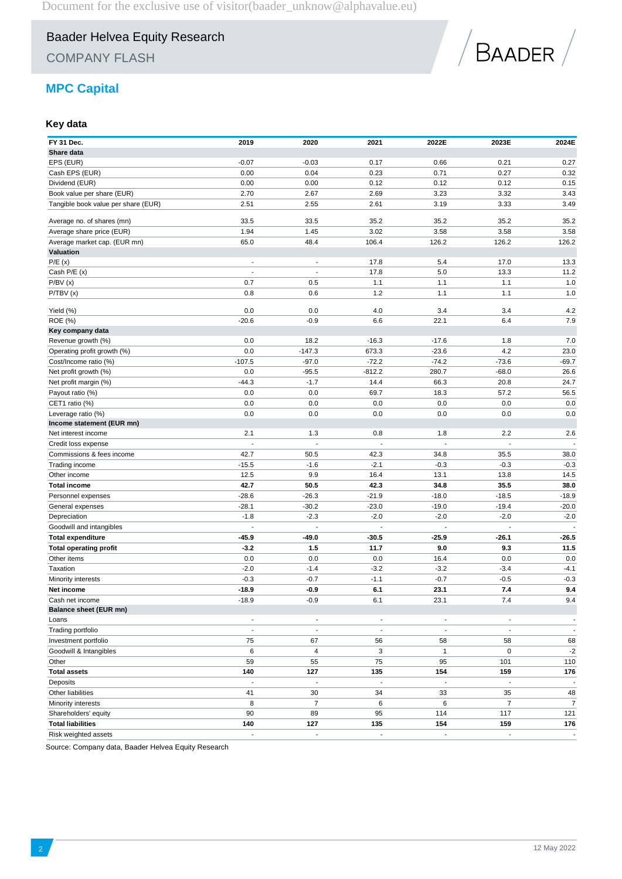COMPANY FLASH



# **MPC Capital**

## **Key data**

| FY 31 Dec.<br>Share data                         | 2019                     | 2020                          | 2021                     | 2022E                                                | 2023E                    | 2024E                    |
|--------------------------------------------------|--------------------------|-------------------------------|--------------------------|------------------------------------------------------|--------------------------|--------------------------|
| EPS (EUR)                                        | $-0.07$                  | $-0.03$                       | 0.17                     | 0.66                                                 | 0.21                     | 0.27                     |
| Cash EPS (EUR)                                   | 0.00                     | 0.04                          | 0.23                     | 0.71                                                 | 0.27                     | 0.32                     |
| Dividend (EUR)                                   | 0.00                     | 0.00                          | 0.12                     | 0.12                                                 | 0.12                     | 0.15                     |
| Book value per share (EUR)                       | 2.70                     | 2.67                          | 2.69                     | 3.23                                                 | 3.32                     | 3.43                     |
| Tangible book value per share (EUR)              | 2.51                     | 2.55                          | 2.61                     | 3.19                                                 | 3.33                     | 3.49                     |
|                                                  |                          |                               |                          |                                                      |                          |                          |
| Average no. of shares (mn)                       | 33.5                     | 33.5                          | 35.2                     | 35.2                                                 | 35.2                     | 35.2                     |
| Average share price (EUR)                        | 1.94                     | 1.45                          | 3.02                     | 3.58                                                 | 3.58                     | 3.58                     |
| Average market cap. (EUR mn)                     | 65.0                     | 48.4                          | 106.4                    | 126.2                                                | 126.2                    | 126.2                    |
| Valuation                                        | $\sim$                   | $\overline{a}$                | 17.8                     | 5.4                                                  | 17.0                     | 13.3                     |
| P/E(x)<br>Cash P/E (x)                           |                          |                               | 17.8                     | 5.0                                                  | 13.3                     | 11.2                     |
| P/BV(x)                                          | 0.7                      | 0.5                           | 1.1                      | 1.1                                                  | 1.1                      | 1.0                      |
| P/TBV(x)                                         | 0.8                      | 0.6                           | 1.2                      | 1.1                                                  | 1.1                      | 1.0                      |
|                                                  |                          |                               |                          |                                                      |                          |                          |
| Yield (%)                                        | 0.0                      | 0.0                           | 4.0                      | 3.4                                                  | 3.4                      | 4.2                      |
| ROE (%)                                          | $-20.6$                  | $-0.9$                        | 6.6                      | 22.1                                                 | 6.4                      | 7.9                      |
| Key company data                                 |                          |                               |                          |                                                      |                          |                          |
| Revenue growth (%)                               | 0.0                      | 18.2                          | $-16.3$                  | $-17.6$                                              | 1.8                      | 7.0                      |
| Operating profit growth (%)                      | 0.0                      | $-147.3$                      | 673.3                    | $-23.6$                                              | 4.2                      | 23.0                     |
| Cost/Income ratio (%)                            | $-107.5$                 | $-97.0$                       | $-72.2$                  | $-74.2$                                              | $-73.6$                  | $-69.7$                  |
| Net profit growth (%)                            | 0.0                      | $-95.5$                       | $-812.2$                 | 280.7                                                | $-68.0$                  | 26.6                     |
| Net profit margin (%)                            | $-44.3$                  | $-1.7$                        | 14.4                     | 66.3                                                 | 20.8                     | 24.7                     |
| Payout ratio (%)                                 | 0.0                      | 0.0                           | 69.7                     | 18.3                                                 | 57.2                     | 56.5                     |
| CET1 ratio (%)                                   | 0.0                      | 0.0                           | 0.0                      | 0.0                                                  | 0.0                      | 0.0                      |
| Leverage ratio (%)                               | 0.0                      | 0.0                           | 0.0                      | 0.0                                                  | 0.0                      | 0.0                      |
| Income statement (EUR mn)                        |                          |                               |                          |                                                      |                          |                          |
| Net interest income                              | 2.1                      | 1.3                           | 0.8                      | 1.8                                                  | 2.2                      | 2.6                      |
| Credit loss expense                              |                          |                               |                          |                                                      |                          |                          |
| Commissions & fees income                        | 42.7                     | 50.5                          | 42.3                     | 34.8                                                 | 35.5                     | 38.0                     |
| Trading income                                   | $-15.5$                  | $-1.6$                        | $-2.1$                   | $-0.3$                                               | $-0.3$                   | $-0.3$                   |
| Other income                                     | 12.5                     | 9.9                           | 16.4                     | 13.1                                                 | 13.8                     | 14.5                     |
| <b>Total income</b>                              | 42.7                     | 50.5                          | 42.3                     | 34.8                                                 | 35.5                     | 38.0                     |
| Personnel expenses                               | $-28.6$                  | $-26.3$                       | $-21.9$                  | $-18.0$                                              | $-18.5$                  | $-18.9$                  |
| General expenses                                 | $-28.1$                  | $-30.2$                       | $-23.0$                  | $-19.0$                                              | $-19.4$                  | $-20.0$                  |
| Depreciation                                     | $-1.8$                   | $-2.3$                        | $-2.0$                   | $-2.0$                                               | $-2.0$                   | $-2.0$                   |
| Goodwill and intangibles                         | $\sim$                   | ÷,                            | $\overline{a}$           | $\overline{\phantom{a}}$                             | $\overline{\phantom{a}}$ | ÷,                       |
| <b>Total expenditure</b>                         | $-45.9$                  | -49.0                         | -30.5                    | $-25.9$                                              | $-26.1$                  | $-26.5$                  |
| <b>Total operating profit</b>                    | $-3.2$                   | 1.5                           | 11.7                     | 9.0                                                  | 9.3                      | 11.5                     |
| Other items                                      | 0.0                      | 0.0                           | 0.0                      | 16.4                                                 | 0.0                      | 0.0                      |
| Taxation                                         | $-2.0$                   | $-1.4$                        | $-3.2$                   | $-3.2$                                               | $-3.4$                   | $-4.1$                   |
| Minority interests                               | $-0.3$                   | $-0.7$                        | $-1.1$                   | $-0.7$                                               | $-0.5$                   | $-0.3$                   |
| Net income                                       | $-18.9$                  | $-0.9$                        | 6.1                      | 23.1                                                 | 7.4                      | 9.4                      |
| Cash net income                                  | $-18.9$                  | $-0.9$                        | 6.1                      | 23.1                                                 | 7.4                      | 9.4                      |
| <b>Balance sheet (EUR mn)</b>                    | $\overline{\phantom{a}}$ |                               | $\blacksquare$           |                                                      |                          | $\overline{\phantom{a}}$ |
| Loans<br>Trading portfolio                       | $\overline{\phantom{a}}$ | ٠<br>$\overline{\phantom{a}}$ |                          | $\overline{\phantom{a}}$<br>$\overline{\phantom{a}}$ | $\overline{\phantom{a}}$ | $\blacksquare$           |
| Investment portfolio                             |                          |                               | $\overline{\phantom{a}}$ |                                                      | $\blacksquare$           |                          |
|                                                  | 75                       | 67                            | 56                       | 58                                                   | 58                       | 68                       |
| Goodwill & Intangibles                           | 6                        | 4                             | 3                        | $\mathbf{1}$                                         | 0                        | $-2$                     |
| Other                                            | 59                       | 55                            | 75                       | 95                                                   | 101                      | 110                      |
| <b>Total assets</b>                              | 140                      | 127                           | 135                      | 154                                                  | 159                      | 176                      |
| Deposits                                         | $\overline{\phantom{a}}$ | $\blacksquare$                | $\blacksquare$           | $\blacksquare$                                       | $\blacksquare$           | $\overline{\phantom{a}}$ |
| Other liabilities                                | 41                       | 30                            | 34                       | 33                                                   | 35                       | 48                       |
| Minority interests                               | 8                        | $\overline{7}$                | 6                        | 6                                                    | $\overline{7}$           | $\overline{7}$           |
| Shareholders' equity                             | 90                       | 89                            | 95                       | 114                                                  | 117                      | 121                      |
| <b>Total liabilities</b><br>Risk weighted assets | 140<br>÷,                | 127<br>÷,                     | 135<br>$\overline{a}$    | 154<br>$\overline{\phantom{a}}$                      | 159<br>L.                | 176<br>$\mathbb{Z}^2$    |
|                                                  |                          |                               |                          |                                                      |                          |                          |

Source: Company data, Baader Helvea Equity Research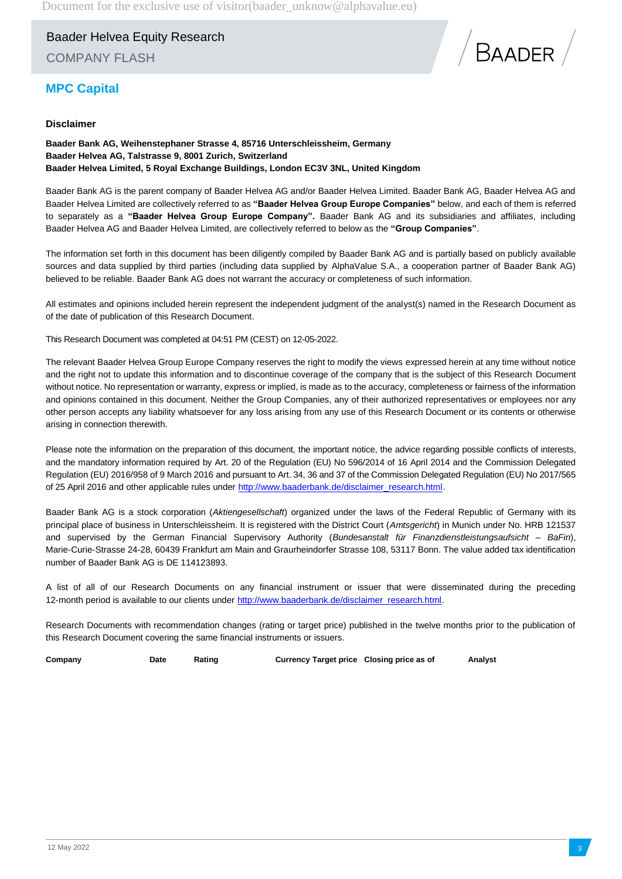Baader Helvea Equity Research COMPANY FLASH



# **MPC Capital**

## **Disclaimer**

**Baader Bank AG, Weihenstephaner Strasse 4, 85716 Unterschleissheim, Germany Baader Helvea AG, Talstrasse 9, 8001 Zurich, Switzerland Baader Helvea Limited, 5 Royal Exchange Buildings, London EC3V 3NL, United Kingdom**

Baader Bank AG is the parent company of Baader Helvea AG and/or Baader Helvea Limited. Baader Bank AG, Baader Helvea AG and Baader Helvea Limited are collectively referred to as **"Baader Helvea Group Europe Companies"** below, and each of them is referred to separately as a **"Baader Helvea Group Europe Company".** Baader Bank AG and its subsidiaries and affiliates, including Baader Helvea AG and Baader Helvea Limited, are collectively referred to below as the **"Group Companies"**.

The information set forth in this document has been diligently compiled by Baader Bank AG and is partially based on publicly available sources and data supplied by third parties (including data supplied by AlphaValue S.A., a cooperation partner of Baader Bank AG) believed to be reliable. Baader Bank AG does not warrant the accuracy or completeness of such information.

All estimates and opinions included herein represent the independent judgment of the analyst(s) named in the Research Document as of the date of publication of this Research Document.

This Research Document was completed at 04:51 PM (CEST) on 12-05-2022.

The relevant Baader Helvea Group Europe Company reserves the right to modify the views expressed herein at any time without notice and the right not to update this information and to discontinue coverage of the company that is the subject of this Research Document without notice. No representation or warranty, express or implied, is made as to the accuracy, completeness or fairness of the information and opinions contained in this document. Neither the Group Companies, any of their authorized representatives or employees nor any other person accepts any liability whatsoever for any loss arising from any use of this Research Document or its contents or otherwise arising in connection therewith.

Please note the information on the preparation of this document, the important notice, the advice regarding possible conflicts of interests, and the mandatory information required by Art. 20 of the Regulation (EU) No 596/2014 of 16 April 2014 and the Commission Delegated Regulation (EU) 2016/958 of 9 March 2016 and pursuant to Art. 34, 36 and 37 of the Commission Delegated Regulation (EU) No 2017/565 of 25 April 2016 and other applicable rules under [http://www.baaderbank.de/disclaimer\\_research.html.](http://www.baaderbank.de/disclaimer_research.html)

Baader Bank AG is a stock corporation (*Aktiengesellschaft*) organized under the laws of the Federal Republic of Germany with its principal place of business in Unterschleissheim. It is registered with the District Court (*Amtsgericht*) in Munich under No. HRB 121537 and supervised by the German Financial Supervisory Authority (*Bundesanstalt für Finanzdienstleistungsaufsicht* – *BaFin*), Marie-Curie-Strasse 24-28, 60439 Frankfurt am Main and Graurheindorfer Strasse 108, 53117 Bonn. The value added tax identification number of Baader Bank AG is DE 114123893.

A list of all of our Research Documents on any financial instrument or issuer that were disseminated during the preceding 12-month period is available to our clients under [http://www.baaderbank.de/disclaimer\\_research.html.](http://www.baaderbank.de/disclaimer_research.html)

Research Documents with recommendation changes (rating or target price) published in the twelve months prior to the publication of this Research Document covering the same financial instruments or issuers.

**Company Date Rating Currency Target price Closing price as of Analyst**